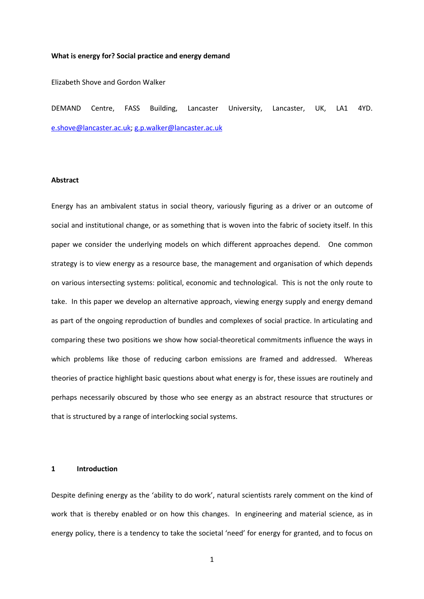#### **What is energy for? Social practice and energy demand**

Elizabeth Shove and Gordon Walker

DEMAND Centre, FASS Building, Lancaster University, Lancaster, UK, LA1 4YD. [e.shove@lancaster.ac.uk;](mailto:e.shove@lancaster.ac.uk) [g.p.walker@lancaster.ac.uk](mailto:g.p.walker@lancaster.ac.uk)

# **Abstract**

Energy has an ambivalent status in social theory, variously figuring as a driver or an outcome of social and institutional change, or as something that is woven into the fabric of society itself. In this paper we consider the underlying models on which different approaches depend. One common strategy is to view energy as a resource base, the management and organisation of which depends on various intersecting systems: political, economic and technological. This is not the only route to take. In this paper we develop an alternative approach, viewing energy supply and energy demand as part of the ongoing reproduction of bundles and complexes of social practice. In articulating and comparing these two positions we show how social-theoretical commitments influence the ways in which problems like those of reducing carbon emissions are framed and addressed. Whereas theories of practice highlight basic questions about what energy is for, these issues are routinely and perhaps necessarily obscured by those who see energy as an abstract resource that structures or that is structured by a range of interlocking social systems.

#### **1 Introduction**

Despite defining energy as the 'ability to do work', natural scientists rarely comment on the kind of work that is thereby enabled or on how this changes. In engineering and material science, as in energy policy, there is a tendency to take the societal 'need' for energy for granted, and to focus on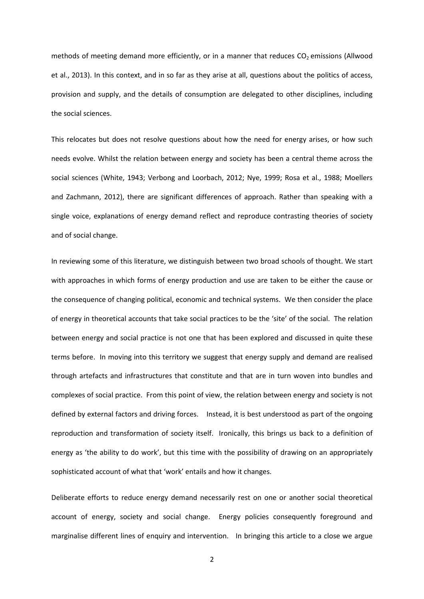methods of meeting demand more efficiently, or in a manner that reduces  $CO<sub>2</sub>$  emissions (Allwood et al., 2013). In this context, and in so far as they arise at all, questions about the politics of access, provision and supply, and the details of consumption are delegated to other disciplines, including the social sciences.

This relocates but does not resolve questions about how the need for energy arises, or how such needs evolve. Whilst the relation between energy and society has been a central theme across the social sciences (White, 1943; Verbong and Loorbach, 2012; Nye, 1999; Rosa et al., 1988; Moellers and Zachmann, 2012), there are significant differences of approach. Rather than speaking with a single voice, explanations of energy demand reflect and reproduce contrasting theories of society and of social change.

In reviewing some of this literature, we distinguish between two broad schools of thought. We start with approaches in which forms of energy production and use are taken to be either the cause or the consequence of changing political, economic and technical systems. We then consider the place of energy in theoretical accounts that take social practices to be the 'site' of the social. The relation between energy and social practice is not one that has been explored and discussed in quite these terms before. In moving into this territory we suggest that energy supply and demand are realised through artefacts and infrastructures that constitute and that are in turn woven into bundles and complexes of social practice. From this point of view, the relation between energy and society is not defined by external factors and driving forces. Instead, it is best understood as part of the ongoing reproduction and transformation of society itself. Ironically, this brings us back to a definition of energy as 'the ability to do work', but this time with the possibility of drawing on an appropriately sophisticated account of what that 'work' entails and how it changes.

Deliberate efforts to reduce energy demand necessarily rest on one or another social theoretical account of energy, society and social change. Energy policies consequently foreground and marginalise different lines of enquiry and intervention. In bringing this article to a close we argue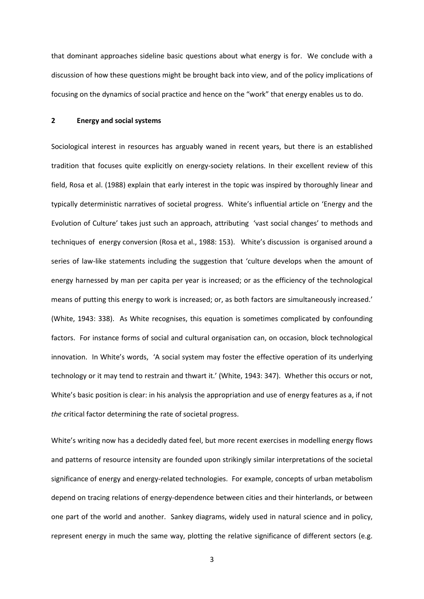that dominant approaches sideline basic questions about what energy is for. We conclude with a discussion of how these questions might be brought back into view, and of the policy implications of focusing on the dynamics of social practice and hence on the "work" that energy enables us to do.

## **2 Energy and social systems**

Sociological interest in resources has arguably waned in recent years, but there is an established tradition that focuses quite explicitly on energy-society relations. In their excellent review of this field, Rosa et al. (1988) explain that early interest in the topic was inspired by thoroughly linear and typically deterministic narratives of societal progress. White's influential article on 'Energy and the Evolution of Culture' takes just such an approach, attributing 'vast social changes' to methods and techniques of energy conversion (Rosa et al., 1988: 153). White's discussion is organised around a series of law-like statements including the suggestion that 'culture develops when the amount of energy harnessed by man per capita per year is increased; or as the efficiency of the technological means of putting this energy to work is increased; or, as both factors are simultaneously increased.' (White, 1943: 338). As White recognises, this equation is sometimes complicated by confounding factors. For instance forms of social and cultural organisation can, on occasion, block technological innovation. In White's words, 'A social system may foster the effective operation of its underlying technology or it may tend to restrain and thwart it.' (White, 1943: 347). Whether this occurs or not, White's basic position is clear: in his analysis the appropriation and use of energy features as a, if not *the* critical factor determining the rate of societal progress.

White's writing now has a decidedly dated feel, but more recent exercises in modelling energy flows and patterns of resource intensity are founded upon strikingly similar interpretations of the societal significance of energy and energy-related technologies. For example, concepts of urban metabolism depend on tracing relations of energy-dependence between cities and their hinterlands, or between one part of the world and another. Sankey diagrams, widely used in natural science and in policy, represent energy in much the same way, plotting the relative significance of different sectors (e.g.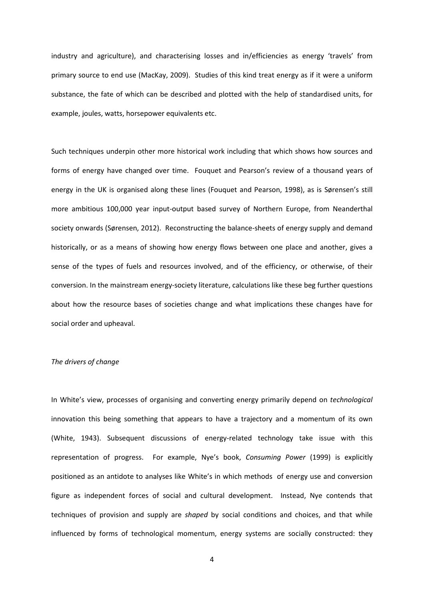industry and agriculture), and characterising losses and in/efficiencies as energy 'travels' from primary source to end use (MacKay, 2009). Studies of this kind treat energy as if it were a uniform substance, the fate of which can be described and plotted with the help of standardised units, for example, joules, watts, horsepower equivalents etc.

Such techniques underpin other more historical work including that which shows how sources and forms of energy have changed over time. Fouquet and Pearson's review of a thousand years of energy in the UK is organised along these lines (Fouquet and Pearson, 1998), as is Sørensen's still more ambitious 100,000 year input-output based survey of Northern Europe, from Neanderthal society onwards (Sørensen, 2012). Reconstructing the balance-sheets of energy supply and demand historically, or as a means of showing how energy flows between one place and another, gives a sense of the types of fuels and resources involved, and of the efficiency, or otherwise, of their conversion. In the mainstream energy-society literature, calculations like these beg further questions about how the resource bases of societies change and what implications these changes have for social order and upheaval.

#### *The drivers of change*

In White's view, processes of organising and converting energy primarily depend on *technological*  innovation this being something that appears to have a trajectory and a momentum of its own (White, 1943). Subsequent discussions of energy-related technology take issue with this representation of progress. For example, Nye's book, *Consuming Power* (1999) is explicitly positioned as an antidote to analyses like White's in which methods of energy use and conversion figure as independent forces of social and cultural development. Instead, Nye contends that techniques of provision and supply are *shaped* by social conditions and choices, and that while influenced by forms of technological momentum, energy systems are socially constructed: they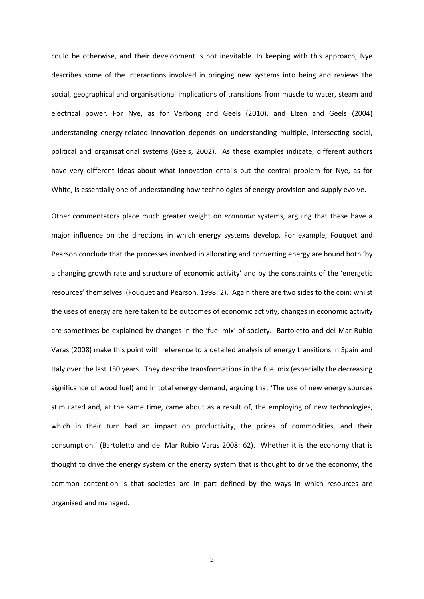could be otherwise, and their development is not inevitable. In keeping with this approach, Nye describes some of the interactions involved in bringing new systems into being and reviews the social, geographical and organisational implications of transitions from muscle to water, steam and electrical power. For Nye, as for Verbong and Geels (2010), and Elzen and Geels (2004) understanding energy-related innovation depends on understanding multiple, intersecting social, political and organisational systems (Geels, 2002). As these examples indicate, different authors have very different ideas about what innovation entails but the central problem for Nye, as for White, is essentially one of understanding how technologies of energy provision and supply evolve.

Other commentators place much greater weight on *economic* systems, arguing that these have a major influence on the directions in which energy systems develop. For example, Fouquet and Pearson conclude that the processes involved in allocating and converting energy are bound both 'by a changing growth rate and structure of economic activity' and by the constraints of the 'energetic resources' themselves (Fouquet and Pearson, 1998: 2). Again there are two sides to the coin: whilst the uses of energy are here taken to be outcomes of economic activity, changes in economic activity are sometimes be explained by changes in the 'fuel mix' of society. Bartoletto and del Mar Rubio Varas (2008) make this point with reference to a detailed analysis of energy transitions in Spain and Italy over the last 150 years. They describe transformations in the fuel mix (especially the decreasing significance of wood fuel) and in total energy demand, arguing that 'The use of new energy sources stimulated and, at the same time, came about as a result of, the employing of new technologies, which in their turn had an impact on productivity, the prices of commodities, and their consumption.' (Bartoletto and del Mar Rubio Varas 2008: 62). Whether it is the economy that is thought to drive the energy system or the energy system that is thought to drive the economy, the common contention is that societies are in part defined by the ways in which resources are organised and managed.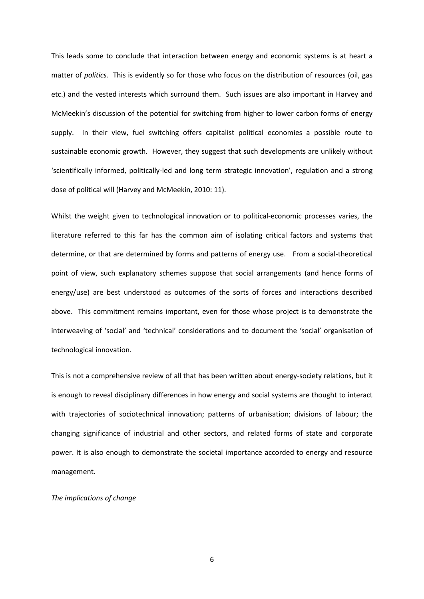This leads some to conclude that interaction between energy and economic systems is at heart a matter of *politics.* This is evidently so for those who focus on the distribution of resources (oil, gas etc.) and the vested interests which surround them. Such issues are also important in Harvey and McMeekin's discussion of the potential for switching from higher to lower carbon forms of energy supply. In their view, fuel switching offers capitalist political economies a possible route to sustainable economic growth. However, they suggest that such developments are unlikely without 'scientifically informed, politically-led and long term strategic innovation', regulation and a strong dose of political will (Harvey and McMeekin, 2010: 11).

Whilst the weight given to technological innovation or to political-economic processes varies, the literature referred to this far has the common aim of isolating critical factors and systems that determine, or that are determined by forms and patterns of energy use. From a social-theoretical point of view, such explanatory schemes suppose that social arrangements (and hence forms of energy/use) are best understood as outcomes of the sorts of forces and interactions described above. This commitment remains important, even for those whose project is to demonstrate the interweaving of 'social' and 'technical' considerations and to document the 'social' organisation of technological innovation.

This is not a comprehensive review of all that has been written about energy-society relations, but it is enough to reveal disciplinary differences in how energy and social systems are thought to interact with trajectories of sociotechnical innovation; patterns of urbanisation; divisions of labour; the changing significance of industrial and other sectors, and related forms of state and corporate power. It is also enough to demonstrate the societal importance accorded to energy and resource management.

## *The implications of change*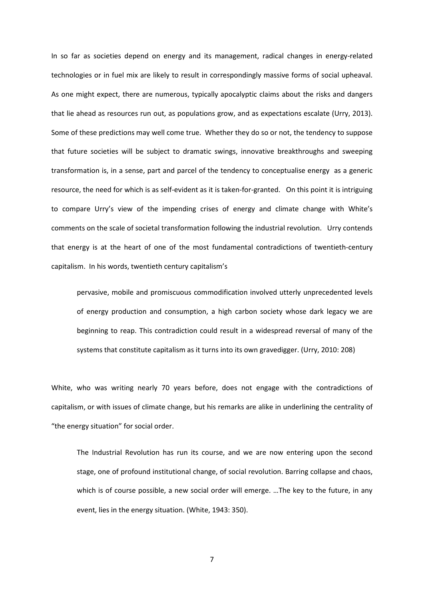In so far as societies depend on energy and its management, radical changes in energy-related technologies or in fuel mix are likely to result in correspondingly massive forms of social upheaval. As one might expect, there are numerous, typically apocalyptic claims about the risks and dangers that lie ahead as resources run out, as populations grow, and as expectations escalate (Urry, 2013). Some of these predictions may well come true. Whether they do so or not, the tendency to suppose that future societies will be subject to dramatic swings, innovative breakthroughs and sweeping transformation is, in a sense, part and parcel of the tendency to conceptualise energy as a generic resource, the need for which is as self-evident as it is taken-for-granted. On this point it is intriguing to compare Urry's view of the impending crises of energy and climate change with White's comments on the scale of societal transformation following the industrial revolution. Urry contends that energy is at the heart of one of the most fundamental contradictions of twentieth-century capitalism. In his words, twentieth century capitalism's

pervasive, mobile and promiscuous commodification involved utterly unprecedented levels of energy production and consumption, a high carbon society whose dark legacy we are beginning to reap. This contradiction could result in a widespread reversal of many of the systems that constitute capitalism as it turns into its own gravedigger. (Urry, 2010: 208)

White, who was writing nearly 70 years before, does not engage with the contradictions of capitalism, or with issues of climate change, but his remarks are alike in underlining the centrality of "the energy situation" for social order.

The Industrial Revolution has run its course, and we are now entering upon the second stage, one of profound institutional change, of social revolution. Barring collapse and chaos, which is of course possible, a new social order will emerge. …The key to the future, in any event, lies in the energy situation. (White, 1943: 350).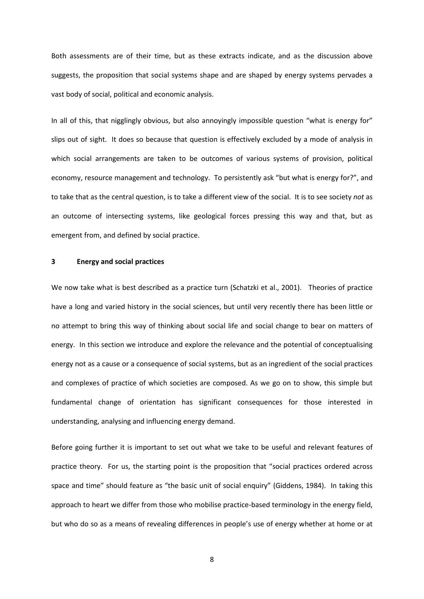Both assessments are of their time, but as these extracts indicate, and as the discussion above suggests, the proposition that social systems shape and are shaped by energy systems pervades a vast body of social, political and economic analysis.

In all of this, that nigglingly obvious, but also annoyingly impossible question "what is energy for" slips out of sight. It does so because that question is effectively excluded by a mode of analysis in which social arrangements are taken to be outcomes of various systems of provision, political economy, resource management and technology. To persistently ask "but what is energy for?", and to take that as the central question, is to take a different view of the social. It is to see society *not* as an outcome of intersecting systems, like geological forces pressing this way and that, but as emergent from, and defined by social practice.

## **3 Energy and social practices**

We now take what is best described as a practice turn (Schatzki et al., 2001). Theories of practice have a long and varied history in the social sciences, but until very recently there has been little or no attempt to bring this way of thinking about social life and social change to bear on matters of energy. In this section we introduce and explore the relevance and the potential of conceptualising energy not as a cause or a consequence of social systems, but as an ingredient of the social practices and complexes of practice of which societies are composed. As we go on to show, this simple but fundamental change of orientation has significant consequences for those interested in understanding, analysing and influencing energy demand.

Before going further it is important to set out what we take to be useful and relevant features of practice theory. For us, the starting point is the proposition that "social practices ordered across space and time" should feature as "the basic unit of social enquiry" (Giddens, 1984). In taking this approach to heart we differ from those who mobilise practice-based terminology in the energy field, but who do so as a means of revealing differences in people's use of energy whether at home or at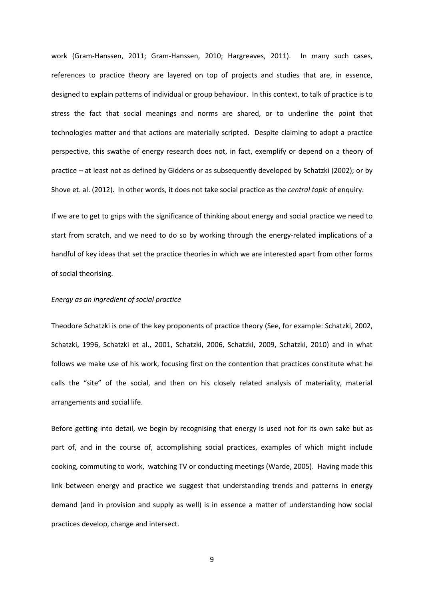work (Gram-Hanssen, 2011; Gram-Hanssen, 2010; Hargreaves, 2011). In many such cases, references to practice theory are layered on top of projects and studies that are, in essence, designed to explain patterns of individual or group behaviour. In this context, to talk of practice is to stress the fact that social meanings and norms are shared, or to underline the point that technologies matter and that actions are materially scripted. Despite claiming to adopt a practice perspective, this swathe of energy research does not, in fact, exemplify or depend on a theory of practice – at least not as defined by Giddens or as subsequently developed by Schatzki (2002); or by Shove et. al. (2012). In other words, it does not take social practice as the *central topic* of enquiry.

If we are to get to grips with the significance of thinking about energy and social practice we need to start from scratch, and we need to do so by working through the energy-related implications of a handful of key ideas that set the practice theories in which we are interested apart from other forms of social theorising.

## *Energy as an ingredient of social practice*

Theodore Schatzki is one of the key proponents of practice theory (See, for example: Schatzki, 2002, Schatzki, 1996, Schatzki et al., 2001, Schatzki, 2006, Schatzki, 2009, Schatzki, 2010) and in what follows we make use of his work, focusing first on the contention that practices constitute what he calls the "site" of the social, and then on his closely related analysis of materiality, material arrangements and social life.

Before getting into detail, we begin by recognising that energy is used not for its own sake but as part of, and in the course of, accomplishing social practices, examples of which might include cooking, commuting to work, watching TV or conducting meetings (Warde, 2005). Having made this link between energy and practice we suggest that understanding trends and patterns in energy demand (and in provision and supply as well) is in essence a matter of understanding how social practices develop, change and intersect.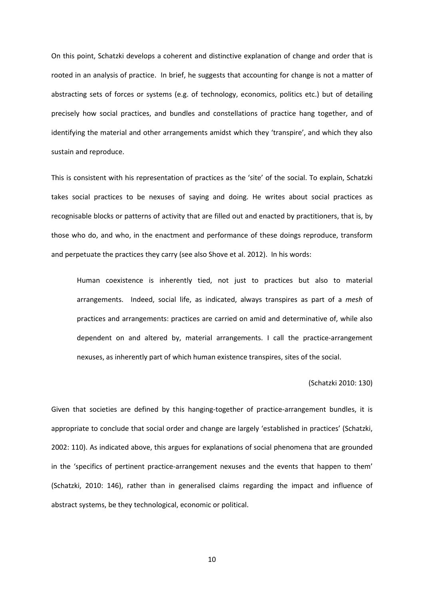On this point, Schatzki develops a coherent and distinctive explanation of change and order that is rooted in an analysis of practice. In brief, he suggests that accounting for change is not a matter of abstracting sets of forces or systems (e.g. of technology, economics, politics etc.) but of detailing precisely how social practices, and bundles and constellations of practice hang together, and of identifying the material and other arrangements amidst which they 'transpire', and which they also sustain and reproduce.

This is consistent with his representation of practices as the 'site' of the social. To explain, Schatzki takes social practices to be nexuses of saying and doing. He writes about social practices as recognisable blocks or patterns of activity that are filled out and enacted by practitioners, that is, by those who do, and who, in the enactment and performance of these doings reproduce, transform and perpetuate the practices they carry (see also Shove et al. 2012). In his words:

Human coexistence is inherently tied, not just to practices but also to material arrangements. Indeed, social life, as indicated, always transpires as part of a *mesh* of practices and arrangements: practices are carried on amid and determinative of, while also dependent on and altered by, material arrangements. I call the practice-arrangement nexuses, as inherently part of which human existence transpires, sites of the social.

#### (Schatzki 2010: 130)

Given that societies are defined by this hanging-together of practice-arrangement bundles, it is appropriate to conclude that social order and change are largely 'established in practices' (Schatzki, 2002: 110). As indicated above, this argues for explanations of social phenomena that are grounded in the 'specifics of pertinent practice-arrangement nexuses and the events that happen to them' (Schatzki, 2010: 146), rather than in generalised claims regarding the impact and influence of abstract systems, be they technological, economic or political.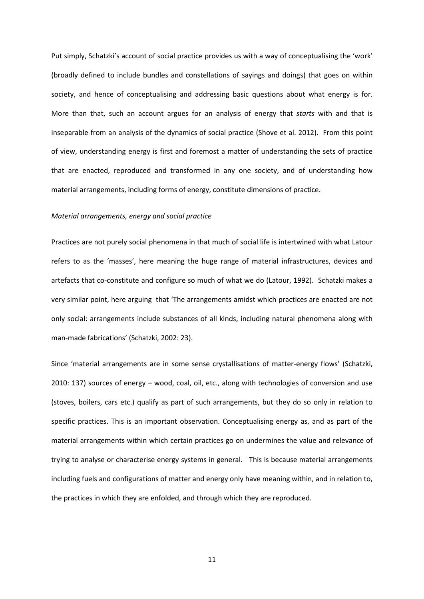Put simply, Schatzki's account of social practice provides us with a way of conceptualising the 'work' (broadly defined to include bundles and constellations of sayings and doings) that goes on within society, and hence of conceptualising and addressing basic questions about what energy is for. More than that, such an account argues for an analysis of energy that *starts* with and that is inseparable from an analysis of the dynamics of social practice (Shove et al. 2012). From this point of view, understanding energy is first and foremost a matter of understanding the sets of practice that are enacted, reproduced and transformed in any one society, and of understanding how material arrangements, including forms of energy, constitute dimensions of practice.

#### *Material arrangements, energy and social practice*

Practices are not purely social phenomena in that much of social life is intertwined with what Latour refers to as the 'masses', here meaning the huge range of material infrastructures, devices and artefacts that co-constitute and configure so much of what we do (Latour, 1992). Schatzki makes a very similar point, here arguing that 'The arrangements amidst which practices are enacted are not only social: arrangements include substances of all kinds, including natural phenomena along with man-made fabrications' (Schatzki, 2002: 23).

Since 'material arrangements are in some sense crystallisations of matter-energy flows' (Schatzki, 2010: 137) sources of energy – wood, coal, oil, etc., along with technologies of conversion and use (stoves, boilers, cars etc.) qualify as part of such arrangements, but they do so only in relation to specific practices. This is an important observation. Conceptualising energy as, and as part of the material arrangements within which certain practices go on undermines the value and relevance of trying to analyse or characterise energy systems in general. This is because material arrangements including fuels and configurations of matter and energy only have meaning within, and in relation to, the practices in which they are enfolded, and through which they are reproduced.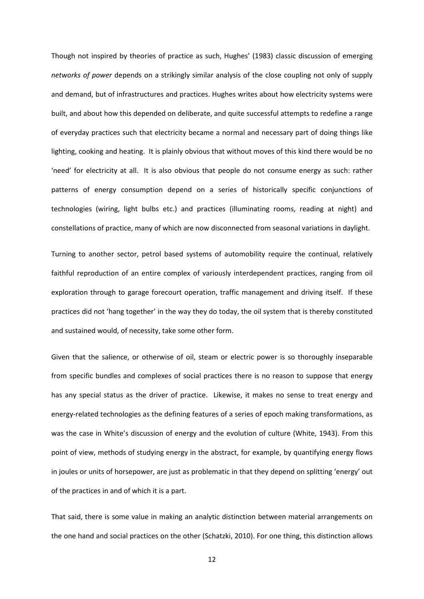Though not inspired by theories of practice as such, Hughes' (1983) classic discussion of emerging *networks of power* depends on a strikingly similar analysis of the close coupling not only of supply and demand, but of infrastructures and practices. Hughes writes about how electricity systems were built, and about how this depended on deliberate, and quite successful attempts to redefine a range of everyday practices such that electricity became a normal and necessary part of doing things like lighting, cooking and heating. It is plainly obvious that without moves of this kind there would be no 'need' for electricity at all. It is also obvious that people do not consume energy as such: rather patterns of energy consumption depend on a series of historically specific conjunctions of technologies (wiring, light bulbs etc.) and practices (illuminating rooms, reading at night) and constellations of practice, many of which are now disconnected from seasonal variations in daylight.

Turning to another sector, petrol based systems of automobility require the continual, relatively faithful reproduction of an entire complex of variously interdependent practices, ranging from oil exploration through to garage forecourt operation, traffic management and driving itself. If these practices did not 'hang together' in the way they do today, the oil system that is thereby constituted and sustained would, of necessity, take some other form.

Given that the salience, or otherwise of oil, steam or electric power is so thoroughly inseparable from specific bundles and complexes of social practices there is no reason to suppose that energy has any special status as the driver of practice. Likewise, it makes no sense to treat energy and energy-related technologies as the defining features of a series of epoch making transformations, as was the case in White's discussion of energy and the evolution of culture (White, 1943). From this point of view, methods of studying energy in the abstract, for example, by quantifying energy flows in joules or units of horsepower, are just as problematic in that they depend on splitting 'energy' out of the practices in and of which it is a part.

That said, there is some value in making an analytic distinction between material arrangements on the one hand and social practices on the other (Schatzki, 2010). For one thing, this distinction allows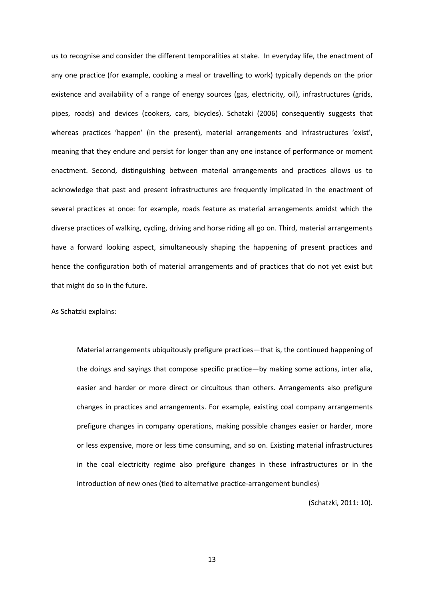us to recognise and consider the different temporalities at stake. In everyday life, the enactment of any one practice (for example, cooking a meal or travelling to work) typically depends on the prior existence and availability of a range of energy sources (gas, electricity, oil), infrastructures (grids, pipes, roads) and devices (cookers, cars, bicycles). Schatzki (2006) consequently suggests that whereas practices 'happen' (in the present), material arrangements and infrastructures 'exist', meaning that they endure and persist for longer than any one instance of performance or moment enactment. Second, distinguishing between material arrangements and practices allows us to acknowledge that past and present infrastructures are frequently implicated in the enactment of several practices at once: for example, roads feature as material arrangements amidst which the diverse practices of walking, cycling, driving and horse riding all go on. Third, material arrangements have a forward looking aspect, simultaneously shaping the happening of present practices and hence the configuration both of material arrangements and of practices that do not yet exist but that might do so in the future.

## As Schatzki explains:

Material arrangements ubiquitously prefigure practices—that is, the continued happening of the doings and sayings that compose specific practice—by making some actions, inter alia, easier and harder or more direct or circuitous than others. Arrangements also prefigure changes in practices and arrangements. For example, existing coal company arrangements prefigure changes in company operations, making possible changes easier or harder, more or less expensive, more or less time consuming, and so on. Existing material infrastructures in the coal electricity regime also prefigure changes in these infrastructures or in the introduction of new ones (tied to alternative practice-arrangement bundles)

(Schatzki, 2011: 10).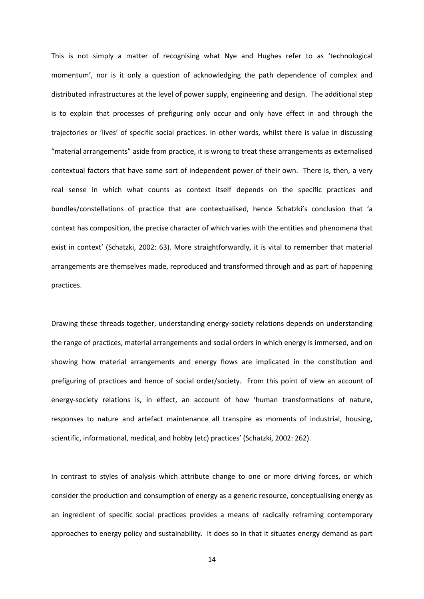This is not simply a matter of recognising what Nye and Hughes refer to as 'technological momentum', nor is it only a question of acknowledging the path dependence of complex and distributed infrastructures at the level of power supply, engineering and design. The additional step is to explain that processes of prefiguring only occur and only have effect in and through the trajectories or 'lives' of specific social practices. In other words, whilst there is value in discussing "material arrangements" aside from practice, it is wrong to treat these arrangements as externalised contextual factors that have some sort of independent power of their own. There is, then, a very real sense in which what counts as context itself depends on the specific practices and bundles/constellations of practice that are contextualised, hence Schatzki's conclusion that 'a context has composition, the precise character of which varies with the entities and phenomena that exist in context' (Schatzki, 2002: 63). More straightforwardly, it is vital to remember that material arrangements are themselves made, reproduced and transformed through and as part of happening practices.

Drawing these threads together, understanding energy-society relations depends on understanding the range of practices, material arrangements and social orders in which energy is immersed, and on showing how material arrangements and energy flows are implicated in the constitution and prefiguring of practices and hence of social order/society. From this point of view an account of energy-society relations is, in effect, an account of how 'human transformations of nature, responses to nature and artefact maintenance all transpire as moments of industrial, housing, scientific, informational, medical, and hobby (etc) practices' (Schatzki, 2002: 262).

In contrast to styles of analysis which attribute change to one or more driving forces, or which consider the production and consumption of energy as a generic resource, conceptualising energy as an ingredient of specific social practices provides a means of radically reframing contemporary approaches to energy policy and sustainability. It does so in that it situates energy demand as part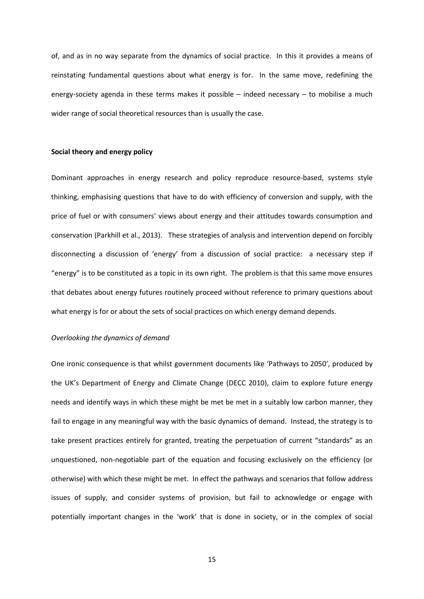of, and as in no way separate from the dynamics of social practice. In this it provides a means of reinstating fundamental questions about what energy is for. In the same move, redefining the energy-society agenda in these terms makes it possible – indeed necessary – to mobilise a much wider range of social theoretical resources than is usually the case.

## **Social theory and energy policy**

Dominant approaches in energy research and policy reproduce resource-based, systems style thinking, emphasising questions that have to do with efficiency of conversion and supply, with the price of fuel or with consumers' views about energy and their attitudes towards consumption and conservation (Parkhill et al., 2013). These strategies of analysis and intervention depend on forcibly disconnecting a discussion of 'energy' from a discussion of social practice: a necessary step if "energy" is to be constituted as a topic in its own right. The problem is that this same move ensures that debates about energy futures routinely proceed without reference to primary questions about what energy is for or about the sets of social practices on which energy demand depends.

#### *Overlooking the dynamics of demand*

One ironic consequence is that whilst government documents like 'Pathways to 2050', produced by the UK's Department of Energy and Climate Change (DECC 2010), claim to explore future energy needs and identify ways in which these might be met be met in a suitably low carbon manner, they fail to engage in any meaningful way with the basic dynamics of demand. Instead, the strategy is to take present practices entirely for granted, treating the perpetuation of current "standards" as an unquestioned, non-negotiable part of the equation and focusing exclusively on the efficiency (or otherwise) with which these might be met. In effect the pathways and scenarios that follow address issues of supply, and consider systems of provision, but fail to acknowledge or engage with potentially important changes in the 'work' that is done in society, or in the complex of social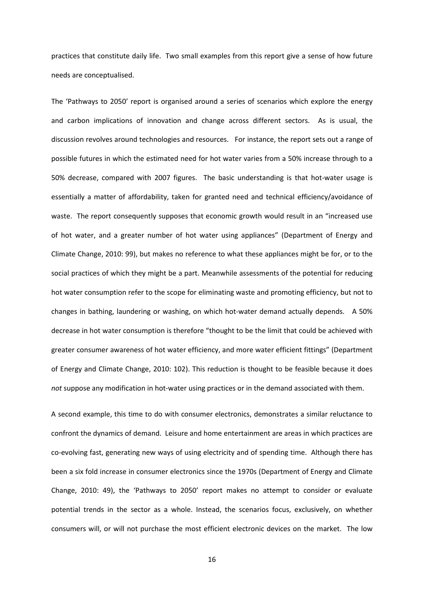practices that constitute daily life. Two small examples from this report give a sense of how future needs are conceptualised.

The 'Pathways to 2050' report is organised around a series of scenarios which explore the energy and carbon implications of innovation and change across different sectors. As is usual, the discussion revolves around technologies and resources. For instance, the report sets out a range of possible futures in which the estimated need for hot water varies from a 50% increase through to a 50% decrease, compared with 2007 figures. The basic understanding is that hot-water usage is essentially a matter of affordability, taken for granted need and technical efficiency/avoidance of waste. The report consequently supposes that economic growth would result in an "increased use of hot water, and a greater number of hot water using appliances" (Department of Energy and Climate Change, 2010: 99), but makes no reference to what these appliances might be for, or to the social practices of which they might be a part. Meanwhile assessments of the potential for reducing hot water consumption refer to the scope for eliminating waste and promoting efficiency, but not to changes in bathing, laundering or washing, on which hot-water demand actually depends. A 50% decrease in hot water consumption is therefore "thought to be the limit that could be achieved with greater consumer awareness of hot water efficiency, and more water efficient fittings" (Department of Energy and Climate Change, 2010: 102). This reduction is thought to be feasible because it does *not* suppose any modification in hot-water using practices or in the demand associated with them.

A second example, this time to do with consumer electronics, demonstrates a similar reluctance to confront the dynamics of demand. Leisure and home entertainment are areas in which practices are co-evolving fast, generating new ways of using electricity and of spending time. Although there has been a six fold increase in consumer electronics since the 1970s (Department of Energy and Climate Change, 2010: 49), the 'Pathways to 2050' report makes no attempt to consider or evaluate potential trends in the sector as a whole. Instead, the scenarios focus, exclusively, on whether consumers will, or will not purchase the most efficient electronic devices on the market. The low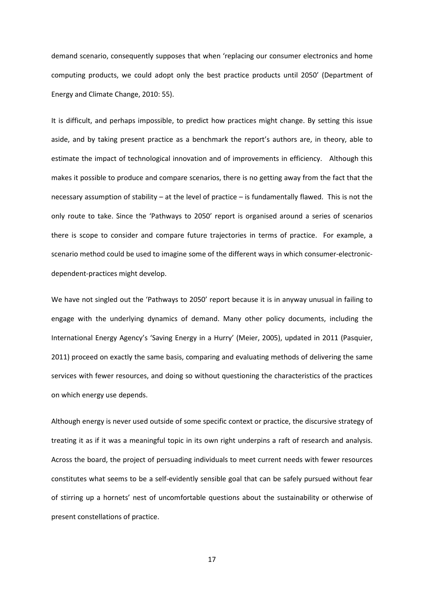demand scenario, consequently supposes that when 'replacing our consumer electronics and home computing products, we could adopt only the best practice products until 2050' (Department of Energy and Climate Change, 2010: 55).

It is difficult, and perhaps impossible, to predict how practices might change. By setting this issue aside, and by taking present practice as a benchmark the report's authors are, in theory, able to estimate the impact of technological innovation and of improvements in efficiency. Although this makes it possible to produce and compare scenarios, there is no getting away from the fact that the necessary assumption of stability – at the level of practice – is fundamentally flawed. This is not the only route to take. Since the 'Pathways to 2050' report is organised around a series of scenarios there is scope to consider and compare future trajectories in terms of practice. For example, a scenario method could be used to imagine some of the different ways in which consumer-electronicdependent-practices might develop.

We have not singled out the 'Pathways to 2050' report because it is in anyway unusual in failing to engage with the underlying dynamics of demand. Many other policy documents, including the International Energy Agency's 'Saving Energy in a Hurry' (Meier, 2005), updated in 2011 (Pasquier, 2011) proceed on exactly the same basis, comparing and evaluating methods of delivering the same services with fewer resources, and doing so without questioning the characteristics of the practices on which energy use depends.

Although energy is never used outside of some specific context or practice, the discursive strategy of treating it as if it was a meaningful topic in its own right underpins a raft of research and analysis. Across the board, the project of persuading individuals to meet current needs with fewer resources constitutes what seems to be a self-evidently sensible goal that can be safely pursued without fear of stirring up a hornets' nest of uncomfortable questions about the sustainability or otherwise of present constellations of practice.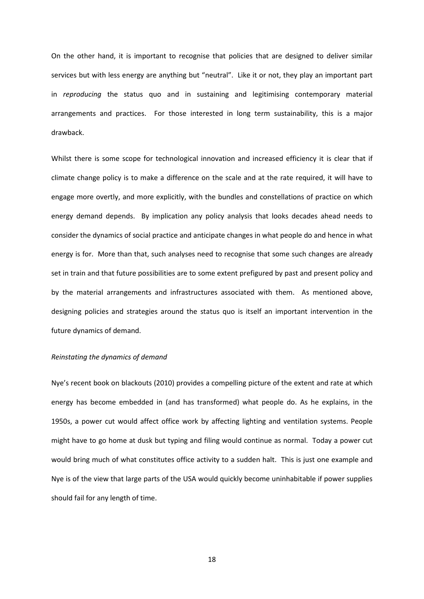On the other hand, it is important to recognise that policies that are designed to deliver similar services but with less energy are anything but "neutral". Like it or not, they play an important part in *reproducing* the status quo and in sustaining and legitimising contemporary material arrangements and practices. For those interested in long term sustainability, this is a major drawback.

Whilst there is some scope for technological innovation and increased efficiency it is clear that if climate change policy is to make a difference on the scale and at the rate required, it will have to engage more overtly, and more explicitly, with the bundles and constellations of practice on which energy demand depends. By implication any policy analysis that looks decades ahead needs to consider the dynamics of social practice and anticipate changes in what people do and hence in what energy is for. More than that, such analyses need to recognise that some such changes are already set in train and that future possibilities are to some extent prefigured by past and present policy and by the material arrangements and infrastructures associated with them. As mentioned above, designing policies and strategies around the status quo is itself an important intervention in the future dynamics of demand.

## *Reinstating the dynamics of demand*

Nye's recent book on blackouts (2010) provides a compelling picture of the extent and rate at which energy has become embedded in (and has transformed) what people do. As he explains, in the 1950s, a power cut would affect office work by affecting lighting and ventilation systems. People might have to go home at dusk but typing and filing would continue as normal. Today a power cut would bring much of what constitutes office activity to a sudden halt. This is just one example and Nye is of the view that large parts of the USA would quickly become uninhabitable if power supplies should fail for any length of time.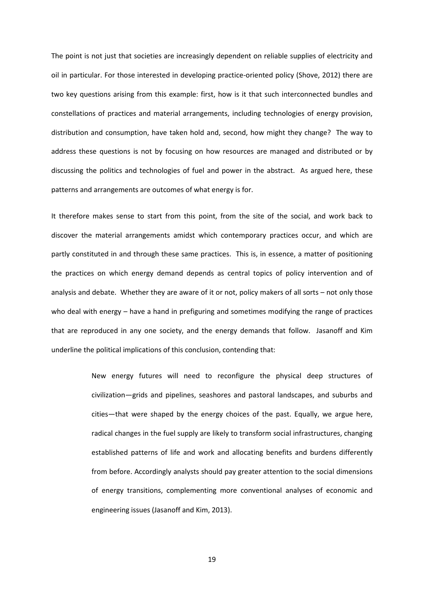The point is not just that societies are increasingly dependent on reliable supplies of electricity and oil in particular. For those interested in developing practice-oriented policy (Shove, 2012) there are two key questions arising from this example: first, how is it that such interconnected bundles and constellations of practices and material arrangements, including technologies of energy provision, distribution and consumption, have taken hold and, second, how might they change? The way to address these questions is not by focusing on how resources are managed and distributed or by discussing the politics and technologies of fuel and power in the abstract. As argued here, these patterns and arrangements are outcomes of what energy is for.

It therefore makes sense to start from this point, from the site of the social, and work back to discover the material arrangements amidst which contemporary practices occur, and which are partly constituted in and through these same practices. This is, in essence, a matter of positioning the practices on which energy demand depends as central topics of policy intervention and of analysis and debate. Whether they are aware of it or not, policy makers of all sorts – not only those who deal with energy – have a hand in prefiguring and sometimes modifying the range of practices that are reproduced in any one society, and the energy demands that follow. Jasanoff and Kim underline the political implications of this conclusion, contending that:

> New energy futures will need to reconfigure the physical deep structures of civilization—grids and pipelines, seashores and pastoral landscapes, and suburbs and cities—that were shaped by the energy choices of the past. Equally, we argue here, radical changes in the fuel supply are likely to transform social infrastructures, changing established patterns of life and work and allocating benefits and burdens differently from before. Accordingly analysts should pay greater attention to the social dimensions of energy transitions, complementing more conventional analyses of economic and engineering issues (Jasanoff and Kim, 2013).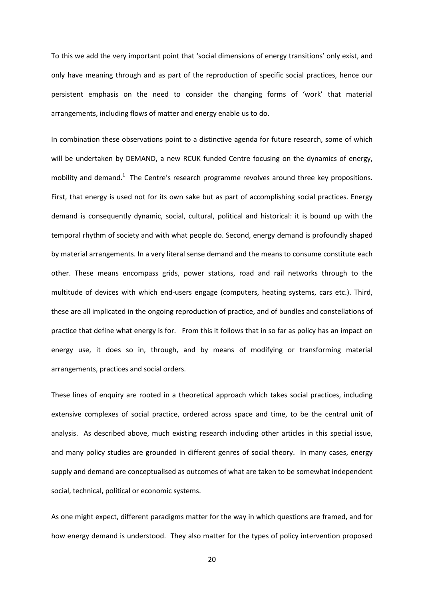To this we add the very important point that 'social dimensions of energy transitions' only exist, and only have meaning through and as part of the reproduction of specific social practices, hence our persistent emphasis on the need to consider the changing forms of 'work' that material arrangements, including flows of matter and energy enable us to do.

In combination these observations point to a distinctive agenda for future research, some of which will be undertaken by DEMAND, a new RCUK funded Centre focusing on the dynamics of energy, mobility and demand. $<sup>1</sup>$  The Centre's research programme revolves around three key propositions.</sup> First, that energy is used not for its own sake but as part of accomplishing social practices. Energy demand is consequently dynamic, social, cultural, political and historical: it is bound up with the temporal rhythm of society and with what people do. Second, energy demand is profoundly shaped by material arrangements. In a very literal sense demand and the means to consume constitute each other. These means encompass grids, power stations, road and rail networks through to the multitude of devices with which end-users engage (computers, heating systems, cars etc.). Third, these are all implicated in the ongoing reproduction of practice, and of bundles and constellations of practice that define what energy is for. From this it follows that in so far as policy has an impact on energy use, it does so in, through, and by means of modifying or transforming material arrangements, practices and social orders.

These lines of enquiry are rooted in a theoretical approach which takes social practices, including extensive complexes of social practice, ordered across space and time, to be the central unit of analysis. As described above, much existing research including other articles in this special issue, and many policy studies are grounded in different genres of social theory. In many cases, energy supply and demand are conceptualised as outcomes of what are taken to be somewhat independent social, technical, political or economic systems.

As one might expect, different paradigms matter for the way in which questions are framed, and for how energy demand is understood. They also matter for the types of policy intervention proposed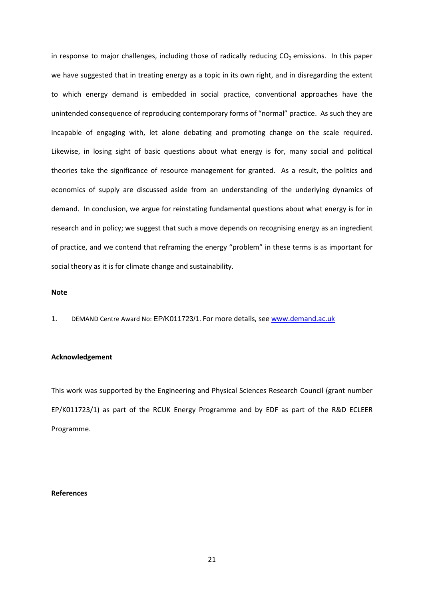in response to major challenges, including those of radically reducing  $CO<sub>2</sub>$  emissions. In this paper we have suggested that in treating energy as a topic in its own right, and in disregarding the extent to which energy demand is embedded in social practice, conventional approaches have the unintended consequence of reproducing contemporary forms of "normal" practice. As such they are incapable of engaging with, let alone debating and promoting change on the scale required. Likewise, in losing sight of basic questions about what energy is for, many social and political theories take the significance of resource management for granted. As a result, the politics and economics of supply are discussed aside from an understanding of the underlying dynamics of demand. In conclusion, we argue for reinstating fundamental questions about what energy is for in research and in policy; we suggest that such a move depends on recognising energy as an ingredient of practice, and we contend that reframing the energy "problem" in these terms is as important for social theory as it is for climate change and sustainability.

# **Note**

1. DEMAND Centre Award No: EP/K011723/1. For more details, see [www.demand.ac.uk](http://www.demand.ac.uk/)

## **Acknowledgement**

This work was supported by the Engineering and Physical Sciences Research Council (grant number EP/K011723/1) as part of the RCUK Energy Programme and by EDF as part of the R&D ECLEER Programme.

# **References**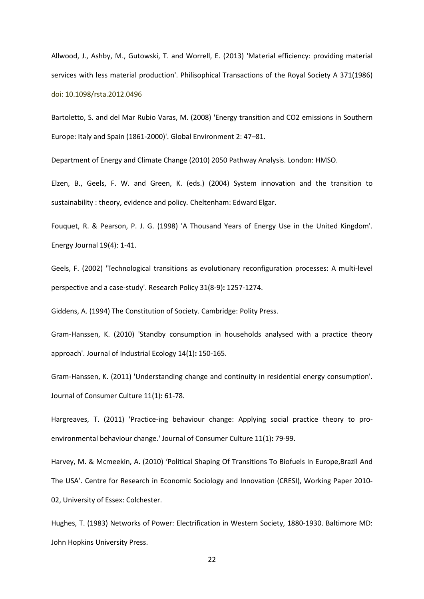Allwood, J., Ashby, M., Gutowski, T. and Worrell, E. (2013) 'Material efficiency: providing material services with less material production'. Philisophical Transactions of the Royal Society A 371(1986) doi: 10.1098/rsta.2012.0496

Bartoletto, S. and del Mar Rubio Varas, M. (2008) 'Energy transition and CO2 emissions in Southern Europe: Italy and Spain (1861-2000)'. Global Environment 2: 47–81.

Department of Energy and Climate Change (2010) 2050 Pathway Analysis. London: HMSO.

Elzen, B., Geels, F. W. and Green, K. (eds.) (2004) System innovation and the transition to sustainability : theory, evidence and policy*.* Cheltenham: Edward Elgar.

Fouquet, R. & Pearson, P. J. G. (1998) 'A Thousand Years of Energy Use in the United Kingdom'. Energy Journal 19(4): 1-41.

Geels, F. (2002) 'Technological transitions as evolutionary reconfiguration processes: A multi-level perspective and a case-study'. Research Policy 31(8-9)**:** 1257-1274.

Giddens, A. (1994) The Constitution of Society. Cambridge: Polity Press.

Gram-Hanssen, K. (2010) 'Standby consumption in households analysed with a practice theory approach'. Journal of Industrial Ecology 14(1)**:** 150-165.

Gram-Hanssen, K. (2011) 'Understanding change and continuity in residential energy consumption'. Journal of Consumer Culture 11(1)**:** 61-78.

Hargreaves, T. (2011) 'Practice-ing behaviour change: Applying social practice theory to proenvironmental behaviour change.' Journal of Consumer Culture 11(1)**:** 79-99.

Harvey, M. & Mcmeekin, A. (2010) 'Political Shaping Of Transitions To Biofuels In Europe,Brazil And The USA'. Centre for Research in Economic Sociology and Innovation (CRESI), Working Paper 2010- 02, University of Essex: Colchester.

Hughes, T. (1983) Networks of Power: Electrification in Western Society, 1880-1930. Baltimore MD: John Hopkins University Press.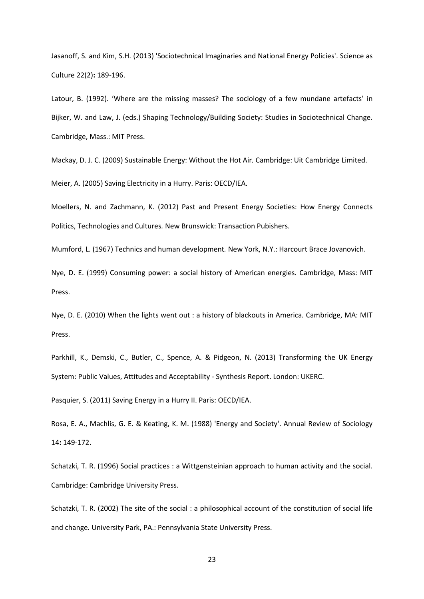Jasanoff, S. and Kim, S.H. (2013) 'Sociotechnical Imaginaries and National Energy Policies'. Science as Culture 22(2)**:** 189-196.

Latour, B. (1992). 'Where are the missing masses? The sociology of a few mundane artefacts' in Bijker, W. and Law, J. (eds.) Shaping Technology/Building Society: Studies in Sociotechnical Change*.* Cambridge, Mass.: MIT Press.

Mackay, D. J. C. (2009) Sustainable Energy: Without the Hot Air*.* Cambridge: Uit Cambridge Limited.

Meier, A. (2005) Saving Electricity in a Hurry. Paris: OECD/IEA.

Moellers, N. and Zachmann, K. (2012) Past and Present Energy Societies: How Energy Connects Politics, Technologies and Cultures*.* New Brunswick: Transaction Pubishers.

Mumford, L. (1967) Technics and human development*.* New York, N.Y.: Harcourt Brace Jovanovich.

Nye, D. E. (1999) Consuming power: a social history of American energies*.* Cambridge, Mass: MIT Press.

Nye, D. E. (2010) When the lights went out : a history of blackouts in America*.* Cambridge, MA: MIT Press.

Parkhill, K., Demski, C., Butler, C., Spence, A. & Pidgeon, N. (2013) Transforming the UK Energy System: Public Values, Attitudes and Acceptability - Synthesis Report. London: UKERC.

Pasquier, S. (2011) Saving Energy in a Hurry II. Paris: OECD/IEA.

Rosa, E. A., Machlis, G. E. & Keating, K. M. (1988) 'Energy and Society'. Annual Review of Sociology 14**:** 149-172.

Schatzki, T. R. (1996) Social practices : a Wittgensteinian approach to human activity and the social*.*  Cambridge: Cambridge University Press.

Schatzki, T. R. (2002) The site of the social : a philosophical account of the constitution of social life and change*.* University Park, PA.: Pennsylvania State University Press.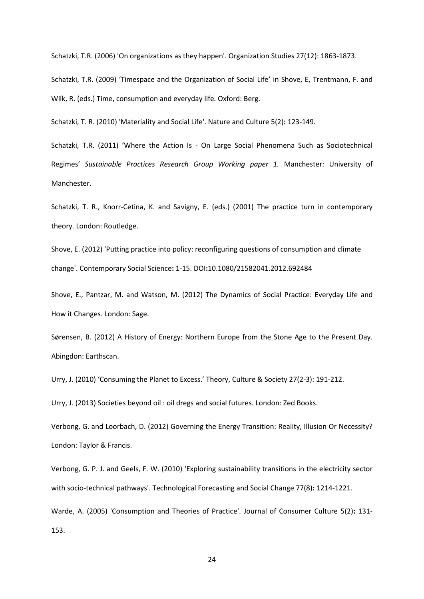Schatzki, T.R. (2006) 'On organizations as they happen'. Organization Studies 27(12): 1863-1873.

Schatzki, T.R. (2009) 'Timespace and the Organization of Social Life' in Shove, E, Trentmann, F. and Wilk, R. (eds.) Time, consumption and everyday life*.* Oxford: Berg.

Schatzki, T. R. (2010) 'Materiality and Social Life'. Nature and Culture 5(2)**:** 123-149.

Schatzki, T.R. (2011) 'Where the Action Is - On Large Social Phenomena Such as Sociotechnical Regimes' *Sustainable Practices Research Group Working paper 1.* Manchester: University of Manchester.

Schatzki, T. R., Knorr-Cetina, K. and Savigny, E. (eds.) (2001) The practice turn in contemporary theory*.* London: Routledge.

Shove, E. (2012) 'Putting practice into policy: reconfiguring questions of consumption and climate change'. Contemporary Social Science**:** 1-15. DOI**:**10.1080/21582041.2012.692484

Shove, E., Pantzar, M. and Watson, M. (2012) The Dynamics of Social Practice: Everyday Life and How it Changes. London: Sage.

Sørensen, B. (2012) A History of Energy: Northern Europe from the Stone Age to the Present Day*.*  Abingdon: Earthscan.

Urry, J. (2010) 'Consuming the Planet to Excess.' Theory, Culture & Society 27(2-3): 191-212.

Urry, J. (2013) Societies beyond oil : oil dregs and social futures*.* London: Zed Books.

Verbong, G. and Loorbach, D. (2012) Governing the Energy Transition: Reality, Illusion Or Necessity? London: Taylor & Francis.

Verbong, G. P. J. and Geels, F. W. (2010) 'Exploring sustainability transitions in the electricity sector with socio-technical pathways'. Technological Forecasting and Social Change 77(8)**:** 1214-1221.

Warde, A. (2005) 'Consumption and Theories of Practice'. Journal of Consumer Culture 5(2)**:** 131- 153.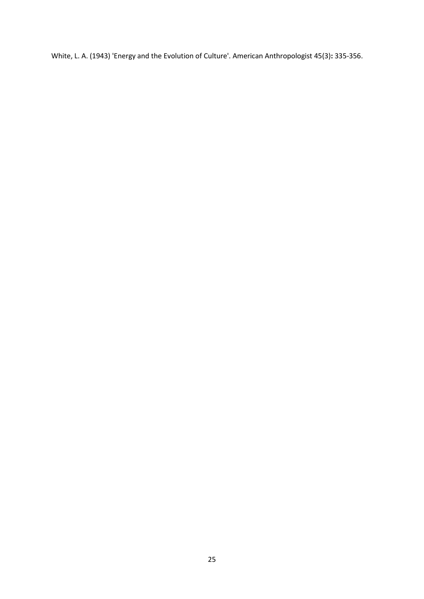White, L. A. (1943) 'Energy and the Evolution of Culture'. American Anthropologist 45(3)**:** 335-356.